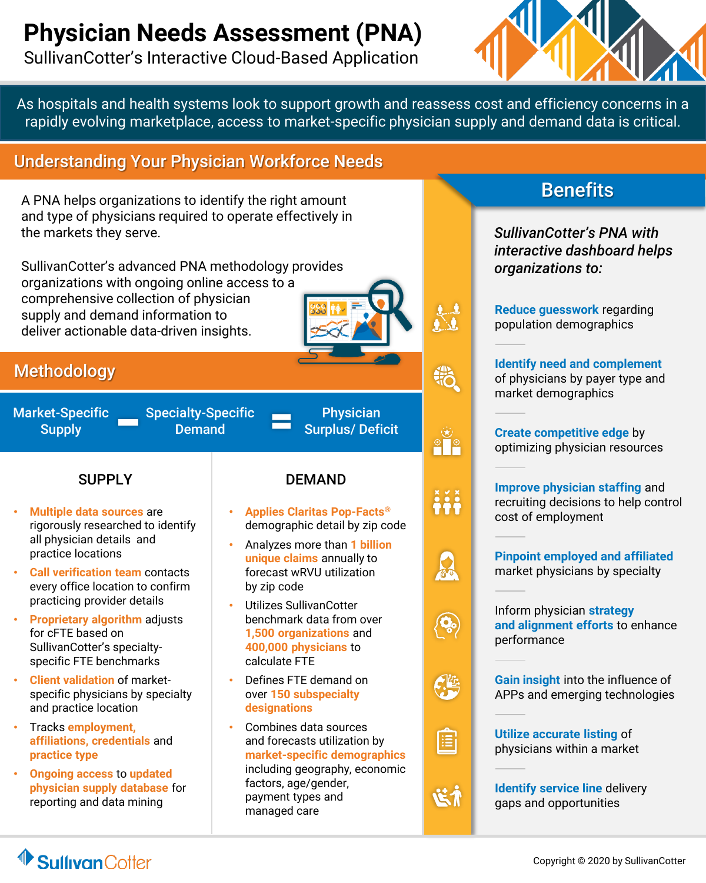# **Physician Needs Assessment (PNA)**

SullivanCotter's Interactive Cloud-Based Application



As hospitals and health systems look to support growth and reassess cost and efficiency concerns in a rapidly evolving marketplace, access to market-specific physician supply and demand data is critical.

## Understanding Your Physician Workforce Needs

A PNA helps organizations to identify the right amount and type of physicians required to operate effectively in the markets they serve.

SullivanCotter's advanced PNA methodology provides organizations with ongoing online access to a comprehensive collection of physician supply and demand information to deliver actionable data-driven insights.

### **Methodology**

Market-Specific **Supply** 

Specialty-Specific Demand

**Physician** Surplus/ Deficit

- **Multiple data sources** are rigorously researched to identify all physician details and practice locations
- **Call verification team** contacts every office location to confirm practicing provider details
- **Proprietary algorithm** adjusts for cFTE based on SullivanCotter's specialtyspecific FTE benchmarks
- **Client validation** of marketspecific physicians by specialty and practice location
- Tracks **employment, affiliations, credentials** and **practice type**
- **Ongoing access** to **updated physician supply database** for reporting and data mining

#### SUPPLY **DEMAND**

- **Applies Claritas Pop-Facts®**  demographic detail by zip code
- Analyzes more than **1 billion unique claims** annually to forecast wRVU utilization by zip code
- Utilizes SullivanCotter benchmark data from over **1,500 organizations** and **400,000 physicians** to calculate FTE
- Defines FTE demand on over **150 subspecialty designations**
- Combines data sources and forecasts utilization by **market-specific demographics**  including geography, economic factors, age/gender, payment types and managed care

## **Benefits**

*SullivanCotter's PNA with interactive dashboard helps organizations to:*

**Reduce guesswork** regarding population demographics

**Identify need and complement**  of physicians by payer type and market demographics

**Create competitive edge** by optimizing physician resources

**Improve physician staffing** and recruiting decisions to help control cost of employment



Inform physician **strategy and alignment efforts** to enhance performance

**Gain insight** into the influence of APPs and emerging technologies



 $^{\circ}$   $^{\circ}$ 

 $\frac{8}{9}$ 

**Utilize accurate listing** of physicians within a market

だが

**Identify service line** delivery gaps and opportunities